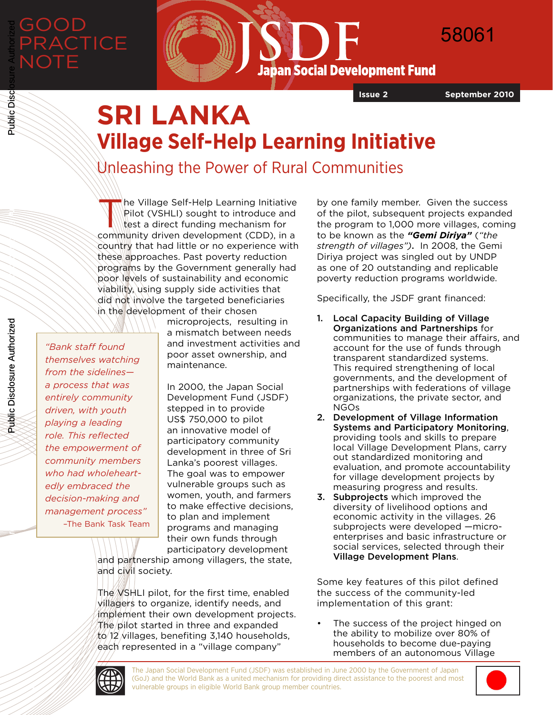

**Japan Social Development Fund** 

**Issue 2 September 2010**

58061

# **SRI LANKA Village Self-Help Learning Initiative**

Unleashing the Power of Rural Communities

he Village Self-Help Learning Initiative Pilot (VSHLI) sought to introduce and test a direct funding mechanism for community driven development (CDD), in a country that had little or no experience with these approaches. Past poverty reduction programs by the Government generally had poor levels of sustainability and economic viability, using supply side activities that did not involve the targeted beneficiaries in the development of their chosen

*"Bank staff found themselves watching from the sidelines a process that was entirely community driven, with youth playing a leading role. This reflected the empowerment of community members who had wholeheartedly embraced the decision-making and management process"* –The Bank Task Team microprojects, resulting in a mismatch between needs and investment activities and poor asset ownership, and maintenance.

In 2000, the Japan Social Development Fund (JSDF) stepped in to provide US\$ 750,000 to pilot an innovative model of participatory community development in three of Sri Lanka's poorest villages. The goal was to empower vulnerable groups such as women, youth, and farmers to make effective decisions, to plan and implement programs and managing their own funds through participatory development

and partnership among villagers, the state, and civil society.

The VSHLI pilot, for the first time, enabled villagers to organize, identify needs, and implement their own development projects. The pilot started in three and expanded  $12$  villages, benefiting 3,140 households, each represented in a "village company"

by one family member. Given the success of the pilot, subsequent projects expanded the program to 1,000 more villages, coming to be known as the *"Gemi Diriya"* (*"the strength of villages")*. In 2008, the Gemi Diriya project was singled out by UNDP as one of 20 outstanding and replicable poverty reduction programs worldwide.

Specifically, the JSDF grant financed:

- 1. Local Capacity Building of Village Organizations and Partnerships for communities to manage their affairs, and account for the use of funds through transparent standardized systems. This required strengthening of local governments, and the development of partnerships with federations of village organizations, the private sector, and NGOs
- 2. Development of Village Information Systems and Participatory Monitoring, providing tools and skills to prepare local Village Development Plans, carry out standardized monitoring and evaluation, and promote accountability for village development projects by measuring progress and results.
- **3. Subprojects** which improved the diversity of livelihood options and economic activity in the villages. 26 subprojects were developed —microenterprises and basic infrastructure or social services, selected through their Village Development Plans.

Some key features of this pilot defined the success of the community-led implementation of this grant:

The success of the project hinged on the ability to mobilize over 80% of households to become due-paying members of an autonomous Village



**11 <b>http://www.worldbank.org/index** vulnerable groups in eligible World Bank group member countries. The Japan Social Development Fund (JSDF) was established in June 2000 by the Government of Japan (GoJ) and the World Bank as a united mechanism for providing direct assistance to the poorest and most



Public Disclosure Authorized

Public Disclosure Authorized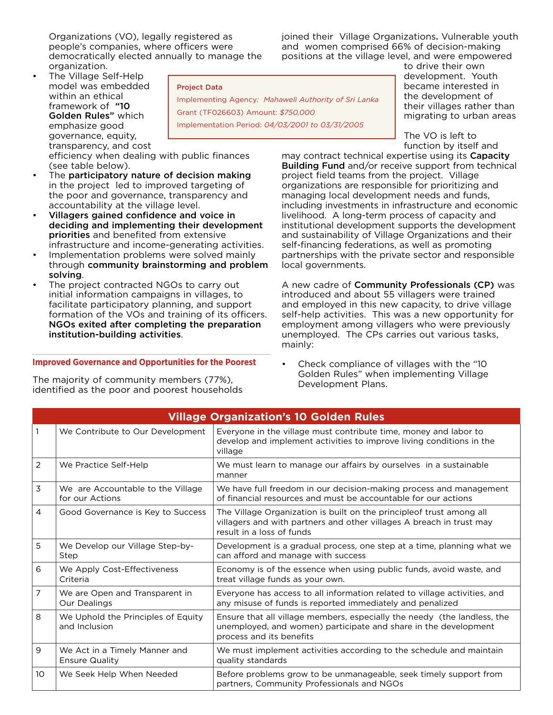Organizations (VO), legally registered as people's companies, where officers were democratically elected annually to manage the organization.

joined their Village Organizations. Vulnerable youth and women comprised 66% of decision-making positions at the village level, and were empowered

• The Village Self-Help model was embedded within an ethical framework of "10 Golden Rules" which emphasize good governance, equity, transparency, and cost

Project Data

Implementing Agency*: Mahaweli Authority of Sri Lanka* Grant (TF026603) Amount: *\$750,000* Implementation Period: *04/03/2001 to 03/31/2005*

to drive their own development. Youth became interested in the development of their villages rather than migrating to urban areas

The VO is left to function by itself and

may contract technical expertise using its Capacity Building Fund and/or receive support from technical project field teams from the project. Village organizations are responsible for prioritizing and managing local development needs and funds, including investments in infrastructure and economic livelihood. A long-term process of capacity and institutional development supports the development and sustainability of Village Organizations and their self-financing federations, as well as promoting partnerships with the private sector and responsible local governments.

A new cadre of Community Professionals (CP) was introduced and about 55 villagers were trained and employed in this new capacity, to drive village self-help activities. This was a new opportunity for employment among villagers who were previously unemployed. The CPs carries out various tasks, mainly:

• Check compliance of villages with the "10 Golden Rules" when implementing Village Development Plans.

| We Contribute to Our Development<br>Everyone in the village must contribute time, money and labor to<br>develop and implement activities to improve living conditions in the<br>village<br>$\overline{2}$<br>We must learn to manage our affairs by ourselves in a sustainable<br>We Practice Self-Help<br>manner<br>3<br>We are Accountable to the Village<br>We have full freedom in our decision-making process and management<br>of financial resources and must be accountable for our actions<br>for our Actions<br>The Village Organization is built on the principleof trust among all<br>4<br>Good Governance is Key to Success<br>villagers and with partners and other villages A breach in trust may<br>result in a loss of funds<br>5<br>We Develop our Village Step-by-<br>Development is a gradual process, one step at a time, planning what we<br>can afford and manage with success<br>Step<br>Economy is of the essence when using public funds, avoid waste, and<br>6<br>We Apply Cost-Effectiveness<br>Criteria<br>treat village funds as your own.<br>7<br>We are Open and Transparent in<br>Everyone has access to all information related to village activities, and<br>Our Dealings<br>any misuse of funds is reported immediately and penalized<br>8<br>We Uphold the Principles of Equity<br>Ensure that all village members, especially the needy (the landless, the<br>and Inclusion<br>unemployed, and women) participate and share in the development<br>process and its benefits<br>9<br>We Act in a Timely Manner and<br>We must implement activities according to the schedule and maintain<br><b>Ensure Quality</b><br>quality standards<br>10<br>We Seek Help When Needed<br>Before problems grow to be unmanageable, seek timely support from<br>partners, Community Professionals and NGOs | <b>Village Organization's 10 Golden Rules</b> |  |  |
|----------------------------------------------------------------------------------------------------------------------------------------------------------------------------------------------------------------------------------------------------------------------------------------------------------------------------------------------------------------------------------------------------------------------------------------------------------------------------------------------------------------------------------------------------------------------------------------------------------------------------------------------------------------------------------------------------------------------------------------------------------------------------------------------------------------------------------------------------------------------------------------------------------------------------------------------------------------------------------------------------------------------------------------------------------------------------------------------------------------------------------------------------------------------------------------------------------------------------------------------------------------------------------------------------------------------------------------------------------------------------------------------------------------------------------------------------------------------------------------------------------------------------------------------------------------------------------------------------------------------------------------------------------------------------------------------------------------------------------------------------------------------------------------------------------------------------------|-----------------------------------------------|--|--|
|                                                                                                                                                                                                                                                                                                                                                                                                                                                                                                                                                                                                                                                                                                                                                                                                                                                                                                                                                                                                                                                                                                                                                                                                                                                                                                                                                                                                                                                                                                                                                                                                                                                                                                                                                                                                                                  |                                               |  |  |
|                                                                                                                                                                                                                                                                                                                                                                                                                                                                                                                                                                                                                                                                                                                                                                                                                                                                                                                                                                                                                                                                                                                                                                                                                                                                                                                                                                                                                                                                                                                                                                                                                                                                                                                                                                                                                                  |                                               |  |  |
|                                                                                                                                                                                                                                                                                                                                                                                                                                                                                                                                                                                                                                                                                                                                                                                                                                                                                                                                                                                                                                                                                                                                                                                                                                                                                                                                                                                                                                                                                                                                                                                                                                                                                                                                                                                                                                  |                                               |  |  |
|                                                                                                                                                                                                                                                                                                                                                                                                                                                                                                                                                                                                                                                                                                                                                                                                                                                                                                                                                                                                                                                                                                                                                                                                                                                                                                                                                                                                                                                                                                                                                                                                                                                                                                                                                                                                                                  |                                               |  |  |
|                                                                                                                                                                                                                                                                                                                                                                                                                                                                                                                                                                                                                                                                                                                                                                                                                                                                                                                                                                                                                                                                                                                                                                                                                                                                                                                                                                                                                                                                                                                                                                                                                                                                                                                                                                                                                                  |                                               |  |  |
|                                                                                                                                                                                                                                                                                                                                                                                                                                                                                                                                                                                                                                                                                                                                                                                                                                                                                                                                                                                                                                                                                                                                                                                                                                                                                                                                                                                                                                                                                                                                                                                                                                                                                                                                                                                                                                  |                                               |  |  |
|                                                                                                                                                                                                                                                                                                                                                                                                                                                                                                                                                                                                                                                                                                                                                                                                                                                                                                                                                                                                                                                                                                                                                                                                                                                                                                                                                                                                                                                                                                                                                                                                                                                                                                                                                                                                                                  |                                               |  |  |
|                                                                                                                                                                                                                                                                                                                                                                                                                                                                                                                                                                                                                                                                                                                                                                                                                                                                                                                                                                                                                                                                                                                                                                                                                                                                                                                                                                                                                                                                                                                                                                                                                                                                                                                                                                                                                                  |                                               |  |  |
|                                                                                                                                                                                                                                                                                                                                                                                                                                                                                                                                                                                                                                                                                                                                                                                                                                                                                                                                                                                                                                                                                                                                                                                                                                                                                                                                                                                                                                                                                                                                                                                                                                                                                                                                                                                                                                  |                                               |  |  |
|                                                                                                                                                                                                                                                                                                                                                                                                                                                                                                                                                                                                                                                                                                                                                                                                                                                                                                                                                                                                                                                                                                                                                                                                                                                                                                                                                                                                                                                                                                                                                                                                                                                                                                                                                                                                                                  |                                               |  |  |

efficiency when dealing with public finances (see table below).

- The participatory nature of decision making in the project led to improved targeting of the poor and governance, transparency and accountability at the village level.
- Villagers gained confidence and voice in deciding and implementing their development priorities and benefited from extensive infrastructure and income-generating activities.
- Implementation problems were solved mainly through community brainstorming and problem solving.
- The project contracted NGOs to carry out initial information campaigns in villages, to facilitate participatory planning, and support formation of the VOs and training of its officers. NGOs exited after completing the preparation institution-building activities.

# **Improved Governance and Opportunities for the Poorest**

The majority of community members (77%), identified as the poor and poorest households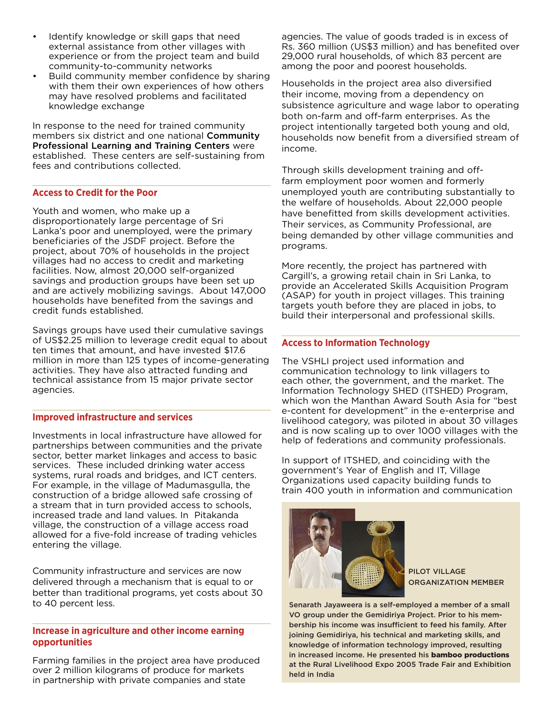- Identify knowledge or skill gaps that need external assistance from other villages with experience or from the project team and build community-to-community networks
- Build community member confidence by sharing with them their own experiences of how others may have resolved problems and facilitated knowledge exchange

In response to the need for trained community members six district and one national Community Professional Learning and Training Centers were established. These centers are self-sustaining from fees and contributions collected.

#### **Access to Credit for the Poor**

Youth and women, who make up a disproportionately large percentage of Sri Lanka's poor and unemployed, were the primary beneficiaries of the JSDF project. Before the project, about 70% of households in the project villages had no access to credit and marketing facilities. Now, almost 20,000 self-organized savings and production groups have been set up and are actively mobilizing savings. About 147,000 households have benefited from the savings and credit funds established.

Savings groups have used their cumulative savings of US\$2.25 million to leverage credit equal to about ten times that amount, and have invested \$17.6 million in more than 125 types of income-generating activities. They have also attracted funding and technical assistance from 15 major private sector agencies.

#### **Improved infrastructure and services**

Investments in local infrastructure have allowed for partnerships between communities and the private sector, better market linkages and access to basic services. These included drinking water access systems, rural roads and bridges, and ICT centers. For example, in the village of Madumasgulla, the construction of a bridge allowed safe crossing of a stream that in turn provided access to schools, increased trade and land values. In Pitakanda village, the construction of a village access road allowed for a five-fold increase of trading vehicles entering the village.

Community infrastructure and services are now delivered through a mechanism that is equal to or better than traditional programs, yet costs about 30 to 40 percent less.

### **Increase in agriculture and other income earning opportunities**

Farming families in the project area have produced over 2 million kilograms of produce for markets in partnership with private companies and state

agencies. The value of goods traded is in excess of Rs. 360 million (US\$3 million) and has benefited over 29,000 rural households, of which 83 percent are among the poor and poorest households.

Households in the project area also diversified their income, moving from a dependency on subsistence agriculture and wage labor to operating both on-farm and off-farm enterprises. As the project intentionally targeted both young and old, households now benefit from a diversified stream of income.

Through skills development training and offfarm employment poor women and formerly unemployed youth are contributing substantially to the welfare of households. About 22,000 people have benefitted from skills development activities. Their services, as Community Professional, are being demanded by other village communities and programs.

More recently, the project has partnered with Cargill's, a growing retail chain in Sri Lanka, to provide an Accelerated Skills Acquisition Program (ASAP) for youth in project villages. This training targets youth before they are placed in jobs, to build their interpersonal and professional skills.

## **Access to Information Technology**

The VSHLI project used information and communication technology to link villagers to each other, the government, and the market. The Information Technology SHED (ITSHED) Program, which won the Manthan Award South Asia for "best e-content for development" in the e-enterprise and livelihood category, was piloted in about 30 villages and is now scaling up to over 1000 villages with the help of federations and community professionals.

In support of ITSHED, and coinciding with the government's Year of English and IT, Village Organizations used capacity building funds to train 400 youth in information and communication



PILOT VILLAGE ORGANIZATION MEMBER

Senarath Jayaweera is a self-employed a member of a small VO group under the Gemidiriya Project. Prior to his membership his income was insufficient to feed his family. After joining Gemidiriya, his technical and marketing skills, and knowledge of information technology improved, resulting in increased income. He presented his bamboo productions at the Rural Livelihood Expo 2005 Trade Fair and Exhibition held in India